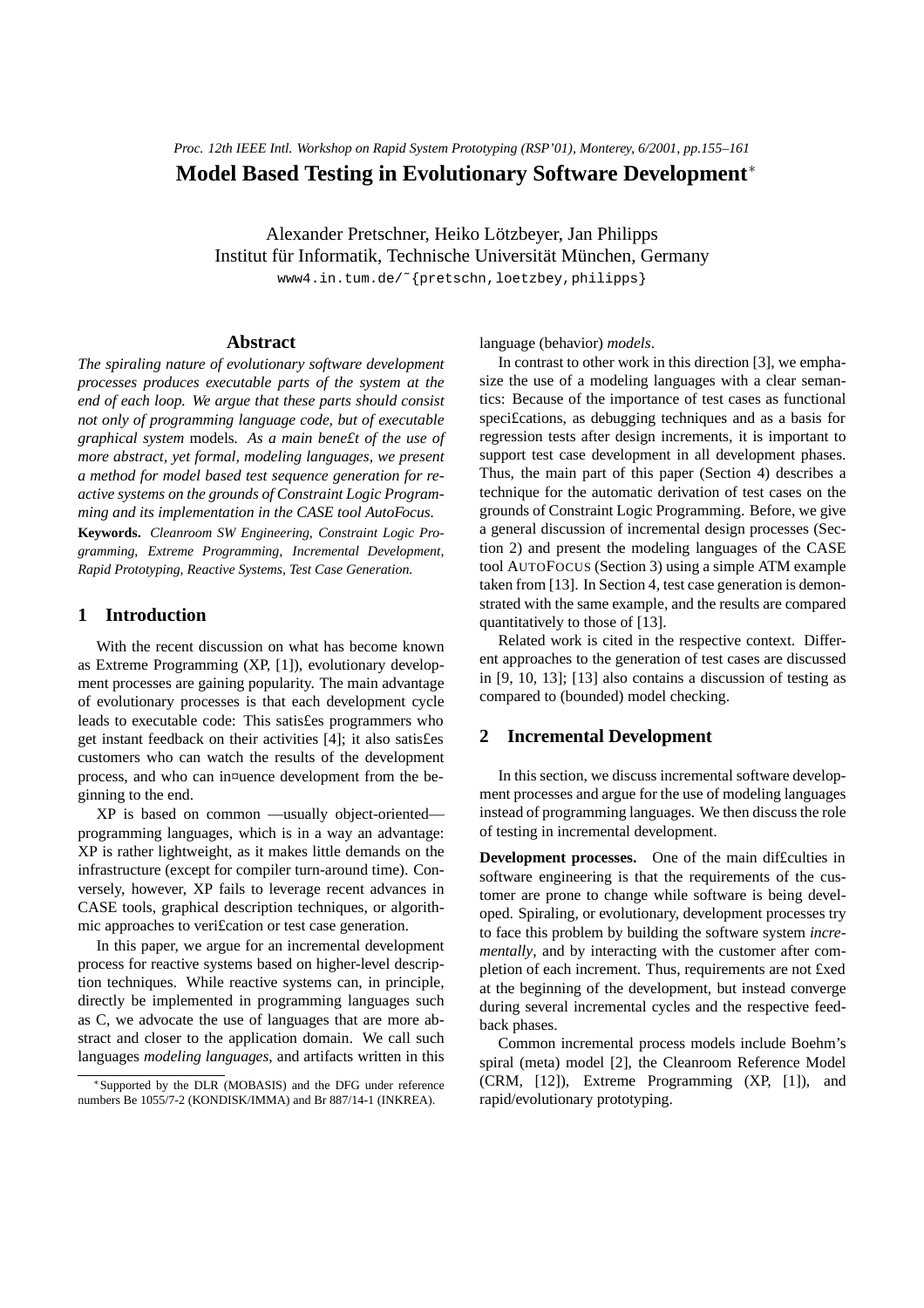*Proc. 12th IEEE Intl. Workshop on Rapid System Prototyping (RSP'01), Monterey, 6/2001, pp.155–161*

# **Model Based Testing in Evolutionary Software Development**<sup>∗</sup>

Alexander Pretschner, Heiko Lötzbever, Jan Philipps Institut für Informatik, Technische Universität München, Germany www4.in.tum.de/˜{pretschn,loetzbey,philipps}

#### **Abstract**

*The spiraling nature of evolutionary software development processes produces executable parts of the system at the end of each loop. We argue that these parts should consist not only of programming language code, but of executable graphical system* models*. As a main bene£t of the use of more abstract, yet formal, modeling languages, we present a method for model based test sequence generation for reactive systems on the grounds of Constraint Logic Programming and its implementation in the CASE tool AutoFocus.* **Keywords.** *Cleanroom SW Engineering, Constraint Logic Programming, Extreme Programming, Incremental Development, Rapid Prototyping, Reactive Systems, Test Case Generation.*

#### **1 Introduction**

With the recent discussion on what has become known as Extreme Programming (XP, [1]), evolutionary development processes are gaining popularity. The main advantage of evolutionary processes is that each development cycle leads to executable code: This satis£es programmers who get instant feedback on their activities [4]; it also satis£es customers who can watch the results of the development process, and who can in¤uence development from the beginning to the end.

XP is based on common —usually object-oriented programming languages, which is in a way an advantage: XP is rather lightweight, as it makes little demands on the infrastructure (except for compiler turn-around time). Conversely, however, XP fails to leverage recent advances in CASE tools, graphical description techniques, or algorithmic approaches to veri£cation or test case generation.

In this paper, we argue for an incremental development process for reactive systems based on higher-level description techniques. While reactive systems can, in principle, directly be implemented in programming languages such as C, we advocate the use of languages that are more abstract and closer to the application domain. We call such languages *modeling languages*, and artifacts written in this language (behavior) *models*.

In contrast to other work in this direction [3], we emphasize the use of a modeling languages with a clear semantics: Because of the importance of test cases as functional speci£cations, as debugging techniques and as a basis for regression tests after design increments, it is important to support test case development in all development phases. Thus, the main part of this paper (Section 4) describes a technique for the automatic derivation of test cases on the grounds of Constraint Logic Programming. Before, we give a general discussion of incremental design processes (Section 2) and present the modeling languages of the CASE tool AUTOFOCUS (Section 3) using a simple ATM example taken from [13]. In Section 4, test case generation is demonstrated with the same example, and the results are compared quantitatively to those of [13].

Related work is cited in the respective context. Different approaches to the generation of test cases are discussed in [9, 10, 13]; [13] also contains a discussion of testing as compared to (bounded) model checking.

#### **2 Incremental Development**

In this section, we discuss incremental software development processes and argue for the use of modeling languages instead of programming languages. We then discuss the role of testing in incremental development.

**Development processes.** One of the main diffculties in software engineering is that the requirements of the customer are prone to change while software is being developed. Spiraling, or evolutionary, development processes try to face this problem by building the software system *incrementally*, and by interacting with the customer after completion of each increment. Thus, requirements are not £xed at the beginning of the development, but instead converge during several incremental cycles and the respective feedback phases.

Common incremental process models include Boehm's spiral (meta) model [2], the Cleanroom Reference Model (CRM, [12]), Extreme Programming (XP, [1]), and rapid/evolutionary prototyping.

<sup>∗</sup>Supported by the DLR (MOBASIS) and the DFG under reference numbers Be 1055/7-2 (KONDISK/IMMA) and Br 887/14-1 (INKREA).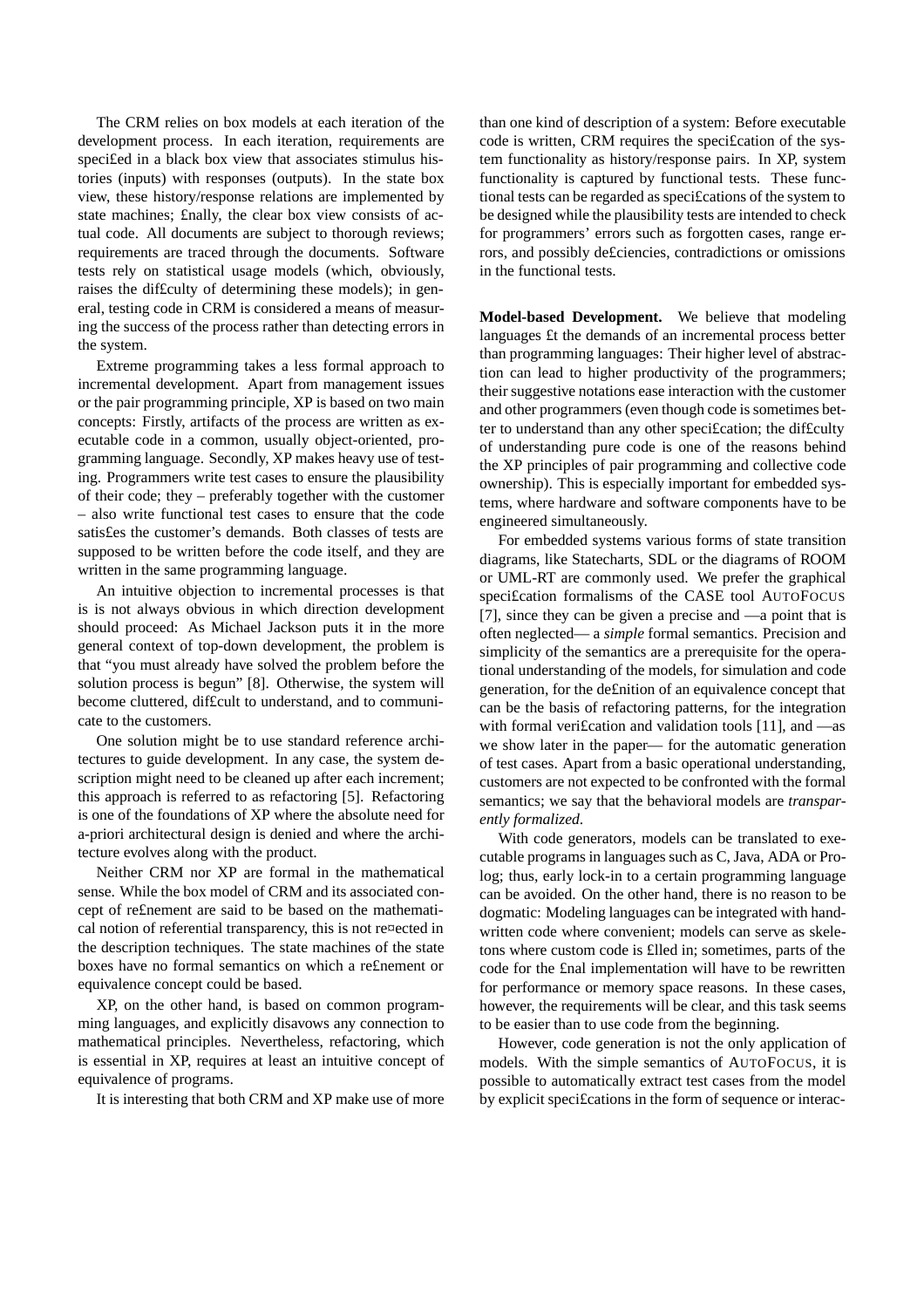The CRM relies on box models at each iteration of the development process. In each iteration, requirements are speci£ed in a black box view that associates stimulus histories (inputs) with responses (outputs). In the state box view, these history/response relations are implemented by state machines; £nally, the clear box view consists of actual code. All documents are subject to thorough reviews; requirements are traced through the documents. Software tests rely on statistical usage models (which, obviously, raises the dif£culty of determining these models); in general, testing code in CRM is considered a means of measuring the success of the process rather than detecting errors in the system.

Extreme programming takes a less formal approach to incremental development. Apart from management issues or the pair programming principle, XP is based on two main concepts: Firstly, artifacts of the process are written as executable code in a common, usually object-oriented, programming language. Secondly, XP makes heavy use of testing. Programmers write test cases to ensure the plausibility of their code; they – preferably together with the customer – also write functional test cases to ensure that the code satis£es the customer's demands. Both classes of tests are supposed to be written before the code itself, and they are written in the same programming language.

An intuitive objection to incremental processes is that is is not always obvious in which direction development should proceed: As Michael Jackson puts it in the more general context of top-down development, the problem is that "you must already have solved the problem before the solution process is begun" [8]. Otherwise, the system will become cluttered, dif£cult to understand, and to communicate to the customers.

One solution might be to use standard reference architectures to guide development. In any case, the system description might need to be cleaned up after each increment; this approach is referred to as refactoring [5]. Refactoring is one of the foundations of XP where the absolute need for a-priori architectural design is denied and where the architecture evolves along with the product.

Neither CRM nor XP are formal in the mathematical sense. While the box model of CRM and its associated concept of re£nement are said to be based on the mathematical notion of referential transparency, this is not re¤ected in the description techniques. The state machines of the state boxes have no formal semantics on which a re£nement or equivalence concept could be based.

XP, on the other hand, is based on common programming languages, and explicitly disavows any connection to mathematical principles. Nevertheless, refactoring, which is essential in XP, requires at least an intuitive concept of equivalence of programs.

It is interesting that both CRM and XP make use of more

than one kind of description of a system: Before executable code is written, CRM requires the speci£cation of the system functionality as history/response pairs. In XP, system functionality is captured by functional tests. These functional tests can be regarded as speci£cations of the system to be designed while the plausibility tests are intended to check for programmers' errors such as forgotten cases, range errors, and possibly de£ciencies, contradictions or omissions in the functional tests.

**Model-based Development.** We believe that modeling languages £t the demands of an incremental process better than programming languages: Their higher level of abstraction can lead to higher productivity of the programmers; their suggestive notations ease interaction with the customer and other programmers (even though code is sometimes better to understand than any other speci£cation; the dif£culty of understanding pure code is one of the reasons behind the XP principles of pair programming and collective code ownership). This is especially important for embedded systems, where hardware and software components have to be engineered simultaneously.

For embedded systems various forms of state transition diagrams, like Statecharts, SDL or the diagrams of ROOM or UML-RT are commonly used. We prefer the graphical speci£cation formalisms of the CASE tool AUTOFOCUS [7], since they can be given a precise and —a point that is often neglected— a *simple* formal semantics. Precision and simplicity of the semantics are a prerequisite for the operational understanding of the models, for simulation and code generation, for the de£nition of an equivalence concept that can be the basis of refactoring patterns, for the integration with formal veri£cation and validation tools [11], and —as we show later in the paper— for the automatic generation of test cases. Apart from a basic operational understanding, customers are not expected to be confronted with the formal semantics; we say that the behavioral models are *transparently formalized*.

With code generators, models can be translated to executable programs in languages such as C, Java, ADA or Prolog; thus, early lock-in to a certain programming language can be avoided. On the other hand, there is no reason to be dogmatic: Modeling languages can be integrated with handwritten code where convenient; models can serve as skeletons where custom code is £lled in; sometimes, parts of the code for the £nal implementation will have to be rewritten for performance or memory space reasons. In these cases, however, the requirements will be clear, and this task seems to be easier than to use code from the beginning.

However, code generation is not the only application of models. With the simple semantics of AUTOFOCUS, it is possible to automatically extract test cases from the model by explicit speci£cations in the form of sequence or interac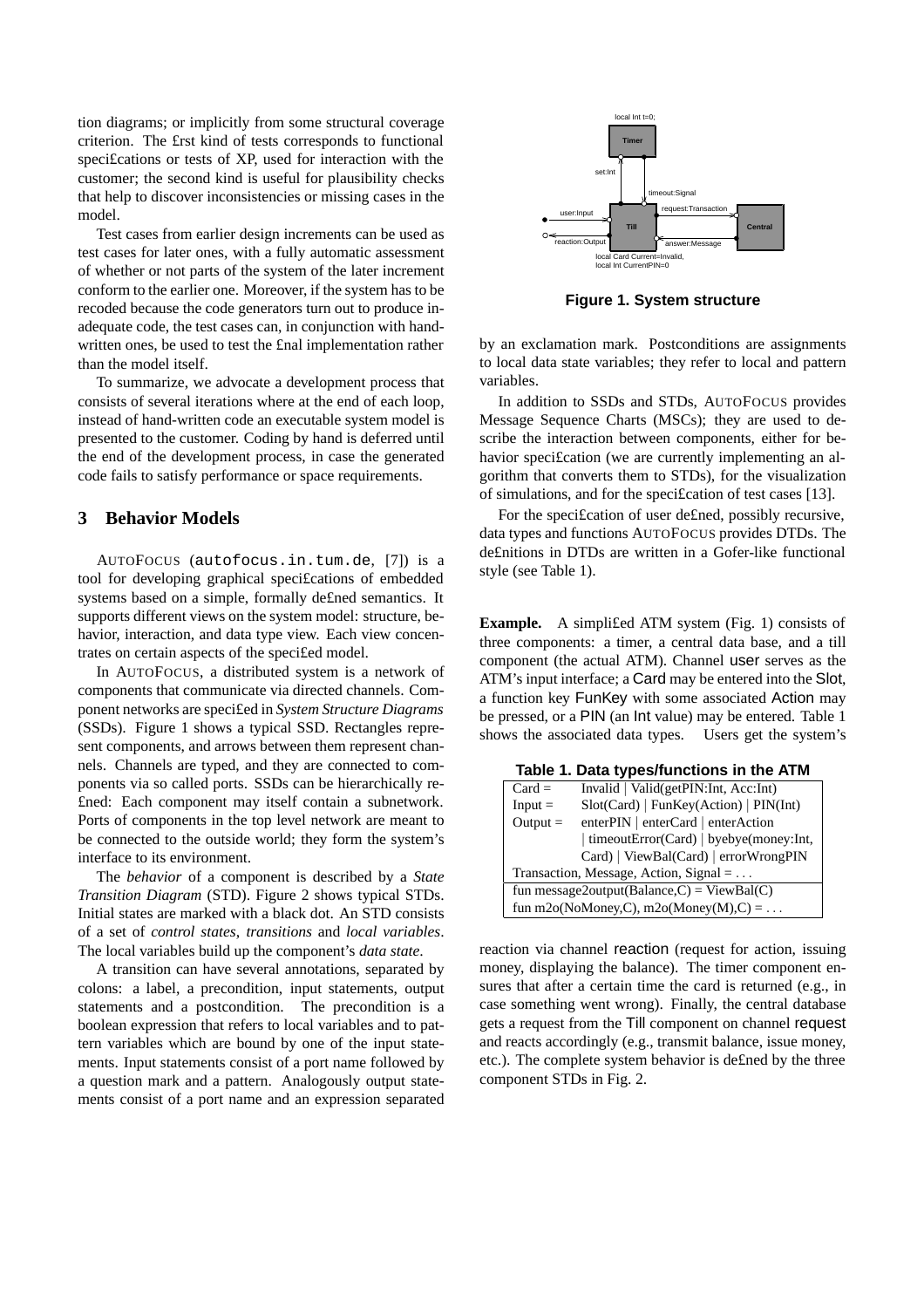tion diagrams; or implicitly from some structural coverage criterion. The £rst kind of tests corresponds to functional speci£cations or tests of XP, used for interaction with the customer; the second kind is useful for plausibility checks that help to discover inconsistencies or missing cases in the model.

Test cases from earlier design increments can be used as test cases for later ones, with a fully automatic assessment of whether or not parts of the system of the later increment conform to the earlier one. Moreover, if the system has to be recoded because the code generators turn out to produce inadequate code, the test cases can, in conjunction with handwritten ones, be used to test the £nal implementation rather than the model itself.

To summarize, we advocate a development process that consists of several iterations where at the end of each loop, instead of hand-written code an executable system model is presented to the customer. Coding by hand is deferred until the end of the development process, in case the generated code fails to satisfy performance or space requirements.

## **3 Behavior Models**

AUTOFOCUS (autofocus.in.tum.de, [7]) is a tool for developing graphical speci£cations of embedded systems based on a simple, formally de£ned semantics. It supports different views on the system model: structure, behavior, interaction, and data type view. Each view concentrates on certain aspects of the speci£ed model.

In AUTOFOCUS, a distributed system is a network of components that communicate via directed channels. Component networks are speci£ed in *System Structure Diagrams* (SSDs). Figure 1 shows a typical SSD. Rectangles represent components, and arrows between them represent channels. Channels are typed, and they are connected to components via so called ports. SSDs can be hierarchically re- £ned: Each component may itself contain a subnetwork. Ports of components in the top level network are meant to be connected to the outside world; they form the system's interface to its environment.

The *behavior* of a component is described by a *State Transition Diagram* (STD). Figure 2 shows typical STDs. Initial states are marked with a black dot. An STD consists of a set of *control states*, *transitions* and *local variables*. The local variables build up the component's *data state*.

A transition can have several annotations, separated by colons: a label, a precondition, input statements, output statements and a postcondition. The precondition is a boolean expression that refers to local variables and to pattern variables which are bound by one of the input statements. Input statements consist of a port name followed by a question mark and a pattern. Analogously output statements consist of a port name and an expression separated



**Figure 1. System structure**

by an exclamation mark. Postconditions are assignments to local data state variables; they refer to local and pattern variables.

In addition to SSDs and STDs, AUTOFOCUS provides Message Sequence Charts (MSCs); they are used to describe the interaction between components, either for behavior specification (we are currently implementing an algorithm that converts them to STDs), for the visualization of simulations, and for the speci£cation of test cases [13].

For the speci£cation of user de£ned, possibly recursive, data types and functions AUTOFOCUS provides DTDs. The de£nitions in DTDs are written in a Gofer-like functional style (see Table 1).

**Example.** A simplified ATM system (Fig. 1) consists of three components: a timer, a central data base, and a till component (the actual ATM). Channel user serves as the ATM's input interface; a Card may be entered into the Slot, a function key FunKey with some associated Action may be pressed, or a PIN (an Int value) may be entered. Table 1 shows the associated data types. Users get the system's

| rable 1. Data types/functions in the ATM       |                                                      |  |  |  |  |  |
|------------------------------------------------|------------------------------------------------------|--|--|--|--|--|
| $Card =$                                       | Invalid   Valid(getPIN:Int, Acc:Int)                 |  |  |  |  |  |
| $Input =$                                      | Slot(Card)   FunKey(Action)   PIN(Int)               |  |  |  |  |  |
| Output $=$                                     | enterPIN   enterCard   enterAction                   |  |  |  |  |  |
|                                                | $\vert$ timeoutError(Card) $\vert$ byebye(money:Int, |  |  |  |  |  |
|                                                | Card)   ViewBal(Card)   errorWrongPIN                |  |  |  |  |  |
| Transaction, Message, Action, Signal = $\dots$ |                                                      |  |  |  |  |  |
| fun message2output(Balance, $C$ ) = ViewBal(C) |                                                      |  |  |  |  |  |
| fun m2o(NoMoney,C), m2o(Money(M),C) =          |                                                      |  |  |  |  |  |

**Table 1. Data types/functions in the ATM**

reaction via channel reaction (request for action, issuing money, displaying the balance). The timer component ensures that after a certain time the card is returned (e.g., in case something went wrong). Finally, the central database gets a request from the Till component on channel request and reacts accordingly (e.g., transmit balance, issue money, etc.). The complete system behavior is de£ned by the three component STDs in Fig. 2.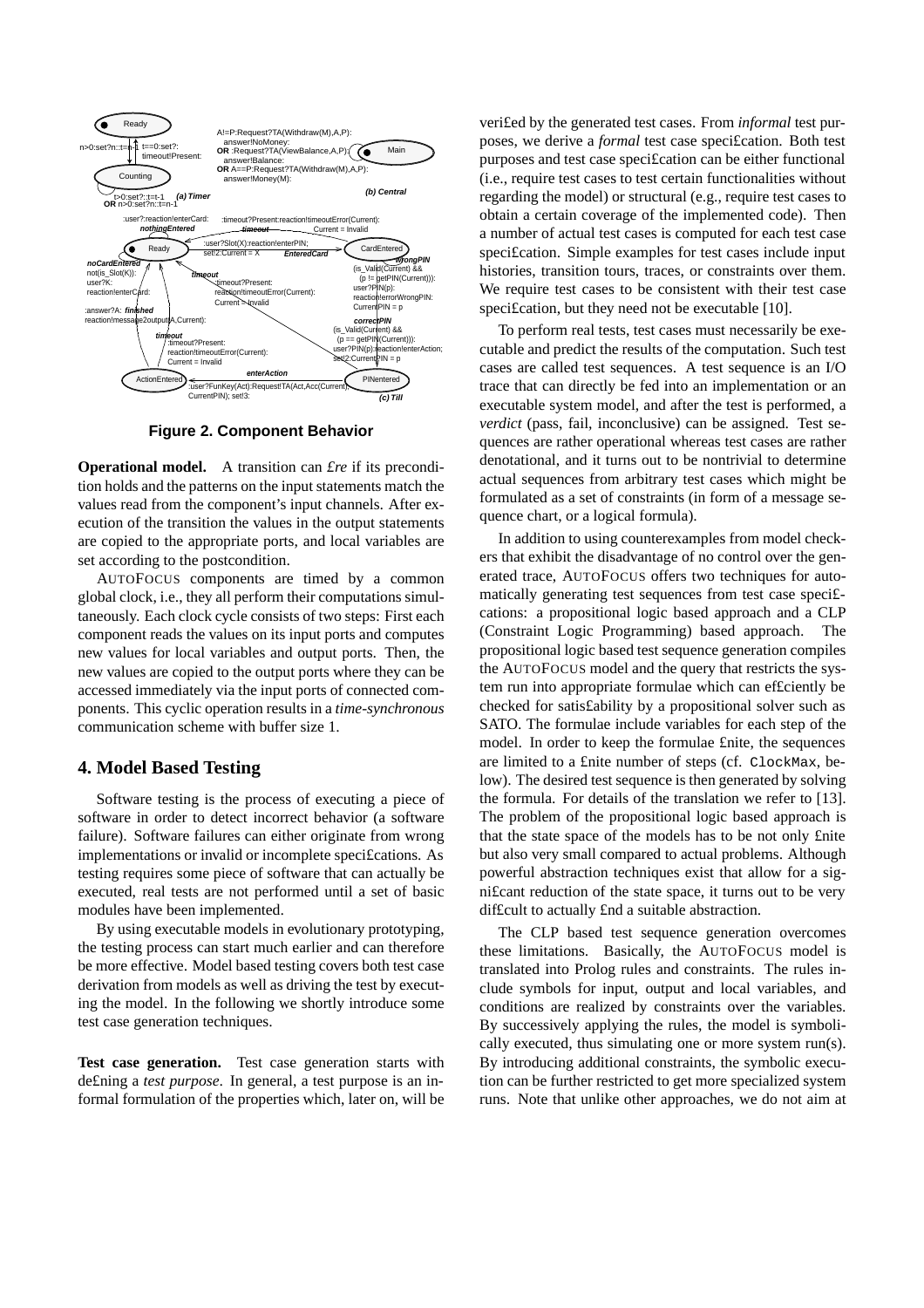

**Figure 2. Component Behavior**

**Operational model.** A transition can *£re* if its precondition holds and the patterns on the input statements match the values read from the component's input channels. After execution of the transition the values in the output statements are copied to the appropriate ports, and local variables are set according to the postcondition.

AUTOFOCUS components are timed by a common global clock, i.e., they all perform their computations simultaneously. Each clock cycle consists of two steps: First each component reads the values on its input ports and computes new values for local variables and output ports. Then, the new values are copied to the output ports where they can be accessed immediately via the input ports of connected components. This cyclic operation results in a *time-synchronous* communication scheme with buffer size 1.

## **4. Model Based Testing**

Software testing is the process of executing a piece of software in order to detect incorrect behavior (a software failure). Software failures can either originate from wrong implementations or invalid or incomplete speci£cations. As testing requires some piece of software that can actually be executed, real tests are not performed until a set of basic modules have been implemented.

By using executable models in evolutionary prototyping, the testing process can start much earlier and can therefore be more effective. Model based testing covers both test case derivation from models as well as driving the test by executing the model. In the following we shortly introduce some test case generation techniques.

**Test case generation.** Test case generation starts with de£ning a *test purpose*. In general, a test purpose is an informal formulation of the properties which, later on, will be veri£ed by the generated test cases. From *informal* test purposes, we derive a *formal* test case speci£cation. Both test purposes and test case speci£cation can be either functional (i.e., require test cases to test certain functionalities without regarding the model) or structural (e.g., require test cases to obtain a certain coverage of the implemented code). Then a number of actual test cases is computed for each test case speci£cation. Simple examples for test cases include input histories, transition tours, traces, or constraints over them. We require test cases to be consistent with their test case specification, but they need not be executable [10].

To perform real tests, test cases must necessarily be executable and predict the results of the computation. Such test cases are called test sequences. A test sequence is an I/O trace that can directly be fed into an implementation or an executable system model, and after the test is performed, a *verdict* (pass, fail, inconclusive) can be assigned. Test sequences are rather operational whereas test cases are rather denotational, and it turns out to be nontrivial to determine actual sequences from arbitrary test cases which might be formulated as a set of constraints (in form of a message sequence chart, or a logical formula).

In addition to using counterexamples from model checkers that exhibit the disadvantage of no control over the generated trace, AUTOFOCUS offers two techniques for automatically generating test sequences from test case speci£ cations: a propositional logic based approach and a CLP (Constraint Logic Programming) based approach. The propositional logic based test sequence generation compiles the AUTOFOCUS model and the query that restricts the system run into appropriate formulae which can ef£ciently be checked for satis£ability by a propositional solver such as SATO. The formulae include variables for each step of the model. In order to keep the formulae £nite, the sequences are limited to a £nite number of steps (cf. ClockMax, below). The desired test sequence is then generated by solving the formula. For details of the translation we refer to [13]. The problem of the propositional logic based approach is that the state space of the models has to be not only £nite but also very small compared to actual problems. Although powerful abstraction techniques exist that allow for a signi£cant reduction of the state space, it turns out to be very dif£cult to actually £nd a suitable abstraction.

The CLP based test sequence generation overcomes these limitations. Basically, the AUTOFOCUS model is translated into Prolog rules and constraints. The rules include symbols for input, output and local variables, and conditions are realized by constraints over the variables. By successively applying the rules, the model is symbolically executed, thus simulating one or more system run(s). By introducing additional constraints, the symbolic execution can be further restricted to get more specialized system runs. Note that unlike other approaches, we do not aim at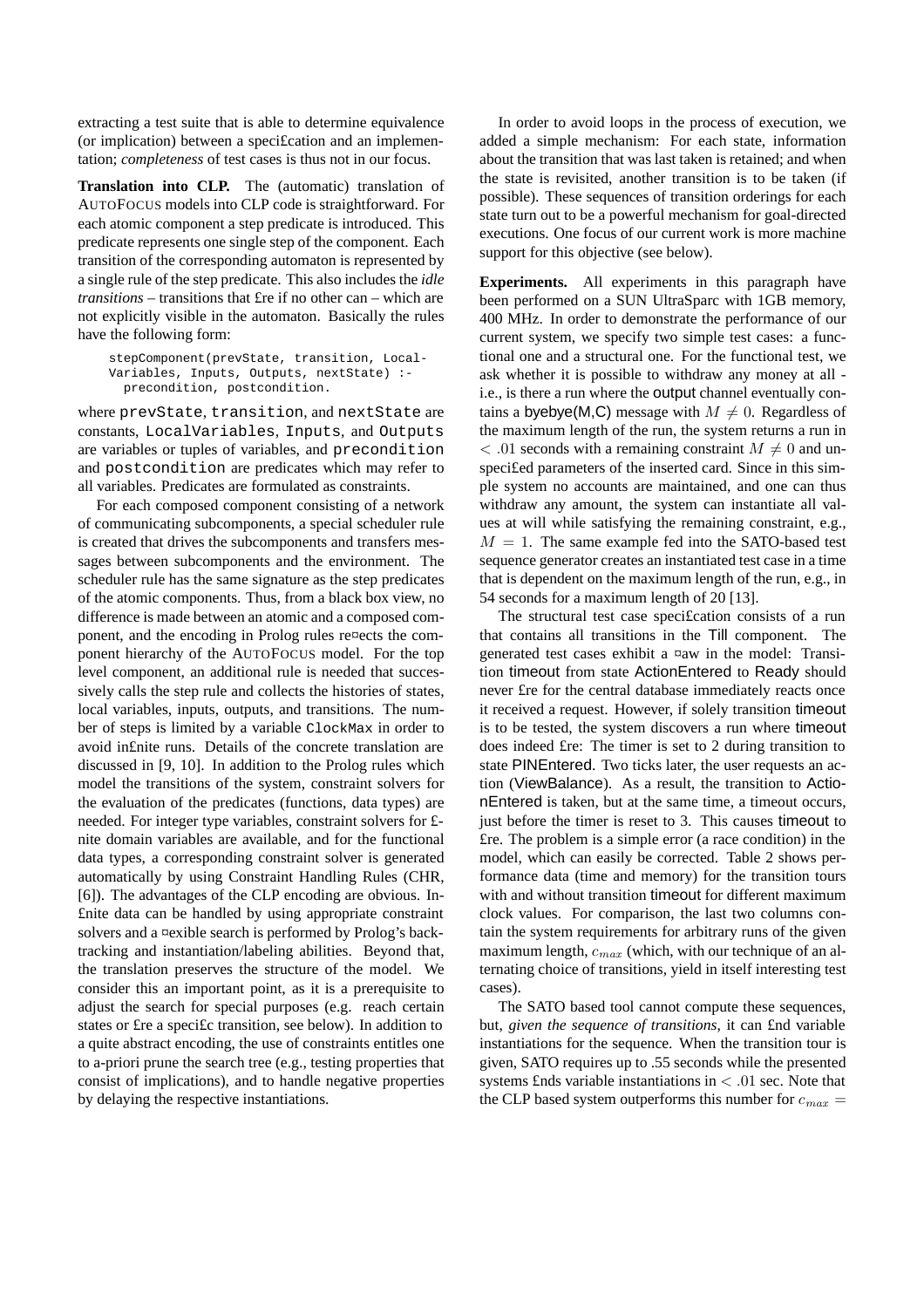extracting a test suite that is able to determine equivalence (or implication) between a speci£cation and an implementation; *completeness* of test cases is thus not in our focus.

**Translation into CLP.** The (automatic) translation of AUTOFOCUS models into CLP code is straightforward. For each atomic component a step predicate is introduced. This predicate represents one single step of the component. Each transition of the corresponding automaton is represented by a single rule of the step predicate. This also includes the *idle transitions* – transitions that £re if no other can – which are not explicitly visible in the automaton. Basically the rules have the following form:

```
stepComponent(prevState, transition, Local-
Variables, Inputs, Outputs, nextState) :-
  precondition, postcondition.
```
where prevState, transition, and nextState are constants, LocalVariables, Inputs, and Outputs are variables or tuples of variables, and precondition and postcondition are predicates which may refer to all variables. Predicates are formulated as constraints.

For each composed component consisting of a network of communicating subcomponents, a special scheduler rule is created that drives the subcomponents and transfers messages between subcomponents and the environment. The scheduler rule has the same signature as the step predicates of the atomic components. Thus, from a black box view, no difference is made between an atomic and a composed component, and the encoding in Prolog rules re¤ects the component hierarchy of the AUTOFOCUS model. For the top level component, an additional rule is needed that successively calls the step rule and collects the histories of states, local variables, inputs, outputs, and transitions. The number of steps is limited by a variable ClockMax in order to avoid in£nite runs. Details of the concrete translation are discussed in [9, 10]. In addition to the Prolog rules which model the transitions of the system, constraint solvers for the evaluation of the predicates (functions, data types) are needed. For integer type variables, constraint solvers for £ nite domain variables are available, and for the functional data types, a corresponding constraint solver is generated automatically by using Constraint Handling Rules (CHR, [6]). The advantages of the CLP encoding are obvious. In- £nite data can be handled by using appropriate constraint solvers and a ¤exible search is performed by Prolog's backtracking and instantiation/labeling abilities. Beyond that, the translation preserves the structure of the model. We consider this an important point, as it is a prerequisite to adjust the search for special purposes (e.g. reach certain states or £re a speci£c transition, see below). In addition to a quite abstract encoding, the use of constraints entitles one to a-priori prune the search tree (e.g., testing properties that consist of implications), and to handle negative properties by delaying the respective instantiations.

In order to avoid loops in the process of execution, we added a simple mechanism: For each state, information about the transition that was last taken is retained; and when the state is revisited, another transition is to be taken (if possible). These sequences of transition orderings for each state turn out to be a powerful mechanism for goal-directed executions. One focus of our current work is more machine support for this objective (see below).

**Experiments.** All experiments in this paragraph have been performed on a SUN UltraSparc with 1GB memory, 400 MHz. In order to demonstrate the performance of our current system, we specify two simple test cases: a functional one and a structural one. For the functional test, we ask whether it is possible to withdraw any money at all i.e., is there a run where the output channel eventually contains a byebye(M,C) message with  $M \neq 0$ . Regardless of the maximum length of the run, the system returns a run in  $< .01$  seconds with a remaining constraint  $M \neq 0$  and unspeci£ed parameters of the inserted card. Since in this simple system no accounts are maintained, and one can thus withdraw any amount, the system can instantiate all values at will while satisfying the remaining constraint, e.g.,  $M = 1$ . The same example fed into the SATO-based test sequence generator creates an instantiated test case in a time that is dependent on the maximum length of the run, e.g., in 54 seconds for a maximum length of 20 [13].

The structural test case speci£cation consists of a run that contains all transitions in the Till component. The generated test cases exhibit a ¤aw in the model: Transition timeout from state ActionEntered to Ready should never £re for the central database immediately reacts once it received a request. However, if solely transition timeout is to be tested, the system discovers a run where timeout does indeed £re: The timer is set to 2 during transition to state PINEntered. Two ticks later, the user requests an action (ViewBalance). As a result, the transition to ActionEntered is taken, but at the same time, a timeout occurs, just before the timer is reset to 3. This causes timeout to £re. The problem is a simple error (a race condition) in the model, which can easily be corrected. Table 2 shows performance data (time and memory) for the transition tours with and without transition timeout for different maximum clock values. For comparison, the last two columns contain the system requirements for arbitrary runs of the given maximum length,  $c_{max}$  (which, with our technique of an alternating choice of transitions, yield in itself interesting test cases).

The SATO based tool cannot compute these sequences, but, *given the sequence of transitions*, it can £nd variable instantiations for the sequence. When the transition tour is given, SATO requires up to .55 seconds while the presented systems £nds variable instantiations in  $\lt$  .01 sec. Note that the CLP based system outperforms this number for  $c_{max}$  =